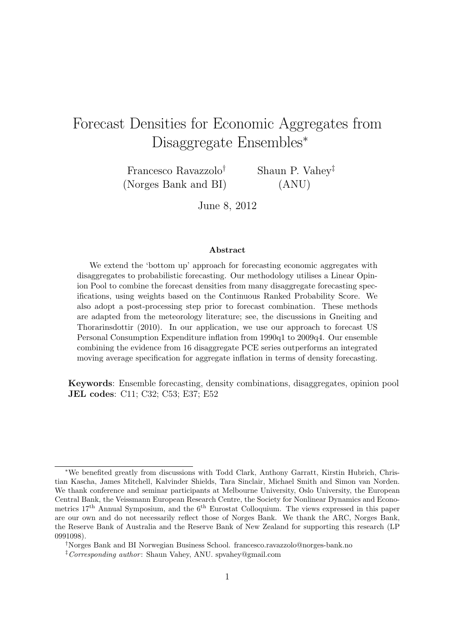# Forecast Densities for Economic Aggregates from Disaggregate Ensembles*<sup>∗</sup>*

Francesco Ravazzolo*†* (Norges Bank and BI) Shaun P. Vahey*‡* (ANU)

June 8, 2012

#### **Abstract**

We extend the 'bottom up' approach for forecasting economic aggregates with disaggregates to probabilistic forecasting. Our methodology utilises a Linear Opinion Pool to combine the forecast densities from many disaggregate forecasting specifications, using weights based on the Continuous Ranked Probability Score. We also adopt a post-processing step prior to forecast combination. These methods are adapted from the meteorology literature; see, the discussions in Gneiting and Thorarinsdottir (2010). In our application, we use our approach to forecast US Personal Consumption Expenditure inflation from 1990q1 to 2009q4. Our ensemble combining the evidence from 16 disaggregate PCE series outperforms an integrated moving average specification for aggregate inflation in terms of density forecasting.

**Keywords**: Ensemble forecasting, density combinations, disaggregates, opinion pool **JEL codes**: C11; C32; C53; E37; E52

*<sup>∗</sup>*We benefited greatly from discussions with Todd Clark, Anthony Garratt, Kirstin Hubrich, Christian Kascha, James Mitchell, Kalvinder Shields, Tara Sinclair, Michael Smith and Simon van Norden. We thank conference and seminar participants at Melbourne University, Oslo University, the European Central Bank, the Veissmann European Research Centre, the Society for Nonlinear Dynamics and Econometrics  $17<sup>th</sup>$  Annual Symposium, and the  $6<sup>th</sup>$  Eurostat Colloquium. The views expressed in this paper are our own and do not necessarily reflect those of Norges Bank. We thank the ARC, Norges Bank, the Reserve Bank of Australia and the Reserve Bank of New Zealand for supporting this research (LP 0991098).

*<sup>†</sup>*Norges Bank and BI Norwegian Business School. francesco.ravazzolo@norges-bank.no

*<sup>‡</sup>Corresponding author* : Shaun Vahey, ANU. spvahey@gmail.com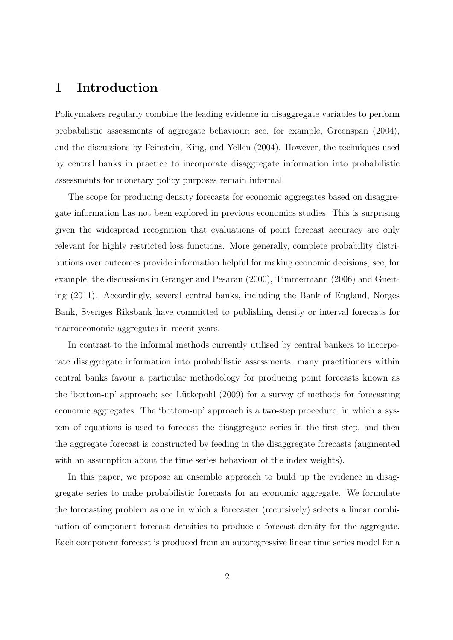### **1 Introduction**

Policymakers regularly combine the leading evidence in disaggregate variables to perform probabilistic assessments of aggregate behaviour; see, for example, Greenspan (2004), and the discussions by Feinstein, King, and Yellen (2004). However, the techniques used by central banks in practice to incorporate disaggregate information into probabilistic assessments for monetary policy purposes remain informal.

The scope for producing density forecasts for economic aggregates based on disaggregate information has not been explored in previous economics studies. This is surprising given the widespread recognition that evaluations of point forecast accuracy are only relevant for highly restricted loss functions. More generally, complete probability distributions over outcomes provide information helpful for making economic decisions; see, for example, the discussions in Granger and Pesaran (2000), Timmermann (2006) and Gneiting (2011). Accordingly, several central banks, including the Bank of England, Norges Bank, Sveriges Riksbank have committed to publishing density or interval forecasts for macroeconomic aggregates in recent years.

In contrast to the informal methods currently utilised by central bankers to incorporate disaggregate information into probabilistic assessments, many practitioners within central banks favour a particular methodology for producing point forecasts known as the 'bottom-up' approach; see Lütkepohl (2009) for a survey of methods for forecasting economic aggregates. The 'bottom-up' approach is a two-step procedure, in which a system of equations is used to forecast the disaggregate series in the first step, and then the aggregate forecast is constructed by feeding in the disaggregate forecasts (augmented with an assumption about the time series behaviour of the index weights).

In this paper, we propose an ensemble approach to build up the evidence in disaggregate series to make probabilistic forecasts for an economic aggregate. We formulate the forecasting problem as one in which a forecaster (recursively) selects a linear combination of component forecast densities to produce a forecast density for the aggregate. Each component forecast is produced from an autoregressive linear time series model for a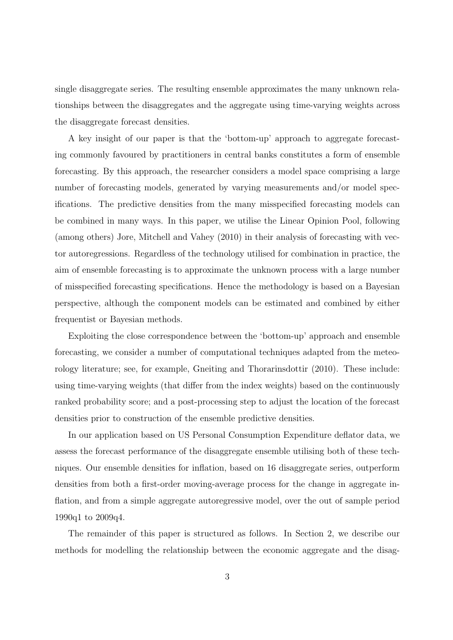single disaggregate series. The resulting ensemble approximates the many unknown relationships between the disaggregates and the aggregate using time-varying weights across the disaggregate forecast densities.

A key insight of our paper is that the 'bottom-up' approach to aggregate forecasting commonly favoured by practitioners in central banks constitutes a form of ensemble forecasting. By this approach, the researcher considers a model space comprising a large number of forecasting models, generated by varying measurements and/or model specifications. The predictive densities from the many misspecified forecasting models can be combined in many ways. In this paper, we utilise the Linear Opinion Pool, following (among others) Jore, Mitchell and Vahey (2010) in their analysis of forecasting with vector autoregressions. Regardless of the technology utilised for combination in practice, the aim of ensemble forecasting is to approximate the unknown process with a large number of misspecified forecasting specifications. Hence the methodology is based on a Bayesian perspective, although the component models can be estimated and combined by either frequentist or Bayesian methods.

Exploiting the close correspondence between the 'bottom-up' approach and ensemble forecasting, we consider a number of computational techniques adapted from the meteorology literature; see, for example, Gneiting and Thorarinsdottir (2010). These include: using time-varying weights (that differ from the index weights) based on the continuously ranked probability score; and a post-processing step to adjust the location of the forecast densities prior to construction of the ensemble predictive densities.

In our application based on US Personal Consumption Expenditure deflator data, we assess the forecast performance of the disaggregate ensemble utilising both of these techniques. Our ensemble densities for inflation, based on 16 disaggregate series, outperform densities from both a first-order moving-average process for the change in aggregate inflation, and from a simple aggregate autoregressive model, over the out of sample period 1990q1 to 2009q4.

The remainder of this paper is structured as follows. In Section 2, we describe our methods for modelling the relationship between the economic aggregate and the disag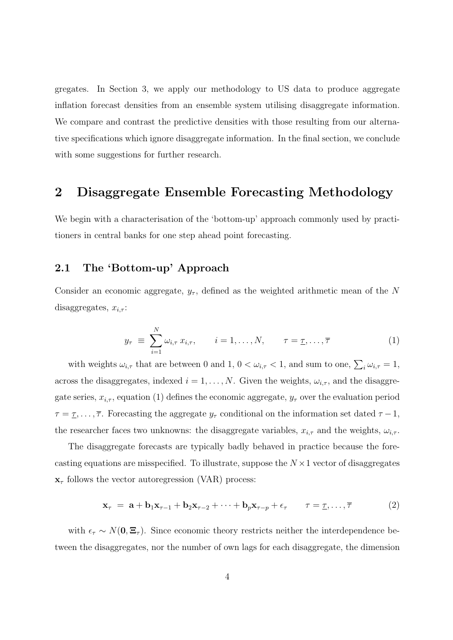gregates. In Section 3, we apply our methodology to US data to produce aggregate inflation forecast densities from an ensemble system utilising disaggregate information. We compare and contrast the predictive densities with those resulting from our alternative specifications which ignore disaggregate information. In the final section, we conclude with some suggestions for further research.

### **2 Disaggregate Ensemble Forecasting Methodology**

We begin with a characterisation of the 'bottom-up' approach commonly used by practitioners in central banks for one step ahead point forecasting.

### **2.1 The 'Bottom-up' Approach**

Consider an economic aggregate,  $y_\tau$ , defined as the weighted arithmetic mean of the N disaggregates, *xi,τ* :

$$
y_{\tau} \equiv \sum_{i=1}^{N} \omega_{i,\tau} \, x_{i,\tau}, \qquad i = 1, \ldots, N, \qquad \tau = \underline{\tau}, \ldots, \overline{\tau}
$$
 (1)

with weights  $\omega_{i,\tau}$  that are between 0 and 1,  $0 < \omega_{i,\tau} < 1$ , and sum to one,  $\sum_i \omega_{i,\tau} = 1$ , across the disaggregates, indexed  $i = 1, ..., N$ . Given the weights,  $\omega_{i, \tau}$ , and the disaggregate series,  $x_{i,\tau}$ , equation (1) defines the economic aggregate,  $y_{\tau}$  over the evaluation period  $\tau = \tau, \ldots, \overline{\tau}$ . Forecasting the aggregate  $y_{\tau}$  conditional on the information set dated  $\tau - 1$ , the researcher faces two unknowns: the disaggregate variables,  $x_{i,\tau}$  and the weights,  $\omega_{i,\tau}$ .

The disaggregate forecasts are typically badly behaved in practice because the forecasting equations are misspecified. To illustrate, suppose the *N ×*1 vector of disaggregates  $\mathbf{x}_{\tau}$  follows the vector autoregression (VAR) process:

$$
\mathbf{x}_{\tau} = \mathbf{a} + \mathbf{b}_1 \mathbf{x}_{\tau-1} + \mathbf{b}_2 \mathbf{x}_{\tau-2} + \dots + \mathbf{b}_p \mathbf{x}_{\tau-p} + \epsilon_{\tau} \qquad \tau = \underline{\tau}, \dots, \overline{\tau}
$$
(2)

with  $\epsilon_{\tau} \sim N(\mathbf{0}, \mathbf{\Xi}_{\tau})$ . Since economic theory restricts neither the interdependence between the disaggregates, nor the number of own lags for each disaggregate, the dimension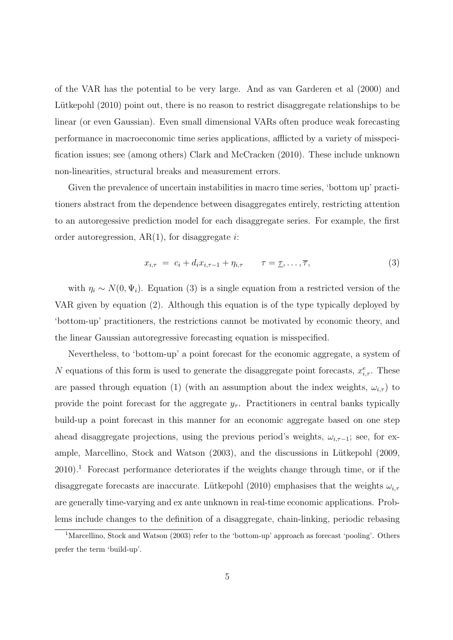of the VAR has the potential to be very large. And as van Garderen et al (2000) and Lütkepohl (2010) point out, there is no reason to restrict disaggregate relationships to be linear (or even Gaussian). Even small dimensional VARs often produce weak forecasting performance in macroeconomic time series applications, afflicted by a variety of misspecification issues; see (among others) Clark and McCracken (2010). These include unknown non-linearities, structural breaks and measurement errors.

Given the prevalence of uncertain instabilities in macro time series, 'bottom up' practitioners abstract from the dependence between disaggregates entirely, restricting attention to an autoregessive prediction model for each disaggregate series. For example, the first order autoregression, AR(1), for disaggregate *i*:

$$
x_{i,\tau} = c_i + d_i x_{i,\tau-1} + \eta_{i,\tau} \qquad \tau = \underline{\tau}, \dots, \overline{\tau}, \tag{3}
$$

with  $\eta_i \sim N(0, \Psi_i)$ . Equation (3) is a single equation from a restricted version of the VAR given by equation (2). Although this equation is of the type typically deployed by 'bottom-up' practitioners, the restrictions cannot be motivated by economic theory, and the linear Gaussian autoregressive forecasting equation is misspecified.

Nevertheless, to 'bottom-up' a point forecast for the economic aggregate, a system of *N* equations of this form is used to generate the disaggregate point forecasts,  $x_{i,\tau}^e$ . These are passed through equation (1) (with an assumption about the index weights,  $\omega_{i,\tau}$ ) to provide the point forecast for the aggregate  $y_\tau$ . Practitioners in central banks typically build-up a point forecast in this manner for an economic aggregate based on one step ahead disaggregate projections, using the previous period's weights,  $\omega_{i,\tau-1}$ ; see, for example, Marcellino, Stock and Watson (2003), and the discussions in Lütkepohl (2009,  $2010$ <sup>1</sup>. Forecast performance deteriorates if the weights change through time, or if the disaggregate forecasts are inaccurate. Lütkepohl (2010) emphasises that the weights  $\omega_{i,\tau}$ are generally time-varying and ex ante unknown in real-time economic applications. Problems include changes to the definition of a disaggregate, chain-linking, periodic rebasing

<sup>&</sup>lt;sup>1</sup>Marcellino, Stock and Watson (2003) refer to the 'bottom-up' approach as forecast 'pooling'. Others prefer the term 'build-up'.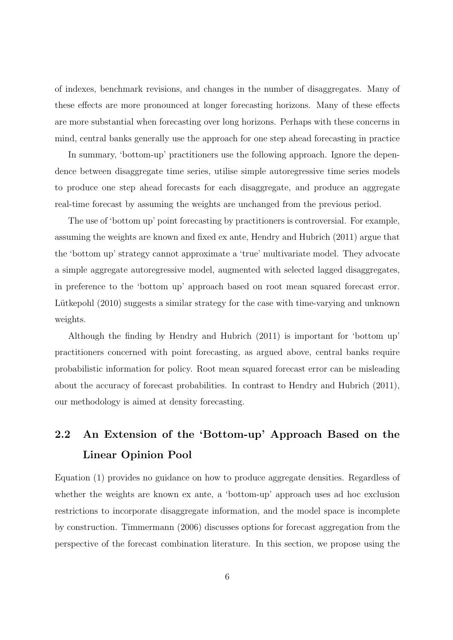of indexes, benchmark revisions, and changes in the number of disaggregates. Many of these effects are more pronounced at longer forecasting horizons. Many of these effects are more substantial when forecasting over long horizons. Perhaps with these concerns in mind, central banks generally use the approach for one step ahead forecasting in practice

In summary, 'bottom-up' practitioners use the following approach. Ignore the dependence between disaggregate time series, utilise simple autoregressive time series models to produce one step ahead forecasts for each disaggregate, and produce an aggregate real-time forecast by assuming the weights are unchanged from the previous period.

The use of 'bottom up' point forecasting by practitioners is controversial. For example, assuming the weights are known and fixed ex ante, Hendry and Hubrich (2011) argue that the 'bottom up' strategy cannot approximate a 'true' multivariate model. They advocate a simple aggregate autoregressive model, augmented with selected lagged disaggregates, in preference to the 'bottom up' approach based on root mean squared forecast error. Lütkepohl (2010) suggests a similar strategy for the case with time-varying and unknown weights.

Although the finding by Hendry and Hubrich (2011) is important for 'bottom up' practitioners concerned with point forecasting, as argued above, central banks require probabilistic information for policy. Root mean squared forecast error can be misleading about the accuracy of forecast probabilities. In contrast to Hendry and Hubrich (2011), our methodology is aimed at density forecasting.

# **2.2 An Extension of the 'Bottom-up' Approach Based on the Linear Opinion Pool**

Equation (1) provides no guidance on how to produce aggregate densities. Regardless of whether the weights are known ex ante, a 'bottom-up' approach uses ad hoc exclusion restrictions to incorporate disaggregate information, and the model space is incomplete by construction. Timmermann (2006) discusses options for forecast aggregation from the perspective of the forecast combination literature. In this section, we propose using the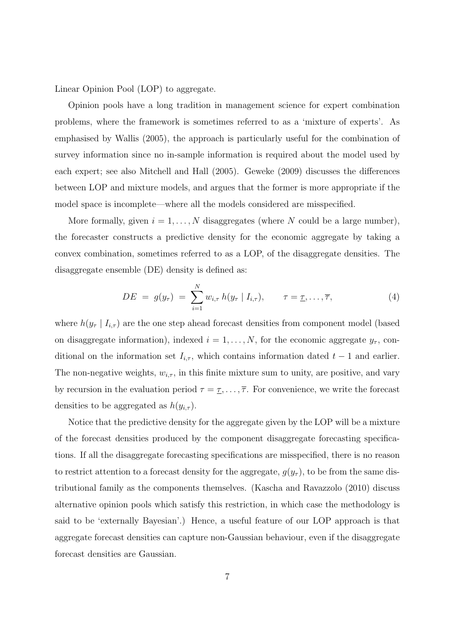Linear Opinion Pool (LOP) to aggregate.

Opinion pools have a long tradition in management science for expert combination problems, where the framework is sometimes referred to as a 'mixture of experts'. As emphasised by Wallis (2005), the approach is particularly useful for the combination of survey information since no in-sample information is required about the model used by each expert; see also Mitchell and Hall (2005). Geweke (2009) discusses the differences between LOP and mixture models, and argues that the former is more appropriate if the model space is incomplete—where all the models considered are misspecified.

More formally, given  $i = 1, \ldots, N$  disaggregates (where N could be a large number), the forecaster constructs a predictive density for the economic aggregate by taking a convex combination, sometimes referred to as a LOP, of the disaggregate densities. The disaggregate ensemble (DE) density is defined as:

$$
DE = g(y_{\tau}) = \sum_{i=1}^{N} w_{i,\tau} h(y_{\tau} | I_{i,\tau}), \qquad \tau = \underline{\tau}, \ldots, \overline{\tau}, \qquad (4)
$$

where  $h(y_\tau | I_{i,\tau})$  are the one step ahead forecast densities from component model (based on disaggregate information), indexed  $i = 1, \ldots, N$ , for the economic aggregate  $y_{\tau}$ , conditional on the information set  $I_{i,\tau}$ , which contains information dated  $t-1$  and earlier. The non-negative weights,  $w_{i,\tau}$ , in this finite mixture sum to unity, are positive, and vary by recursion in the evaluation period  $\tau = \tau, \ldots, \overline{\tau}$ . For convenience, we write the forecast densities to be aggregated as  $h(y_{i,\tau})$ .

Notice that the predictive density for the aggregate given by the LOP will be a mixture of the forecast densities produced by the component disaggregate forecasting specifications. If all the disaggregate forecasting specifications are misspecified, there is no reason to restrict attention to a forecast density for the aggregate,  $g(y_\tau)$ , to be from the same distributional family as the components themselves. (Kascha and Ravazzolo (2010) discuss alternative opinion pools which satisfy this restriction, in which case the methodology is said to be 'externally Bayesian'.) Hence, a useful feature of our LOP approach is that aggregate forecast densities can capture non-Gaussian behaviour, even if the disaggregate forecast densities are Gaussian.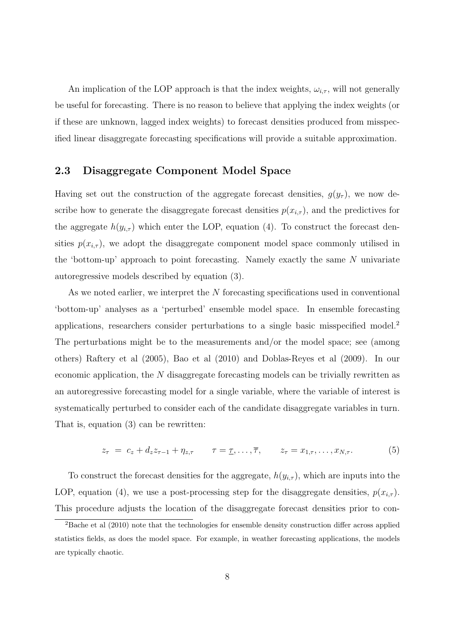An implication of the LOP approach is that the index weights,  $\omega_{i,\tau}$ , will not generally be useful for forecasting. There is no reason to believe that applying the index weights (or if these are unknown, lagged index weights) to forecast densities produced from misspecified linear disaggregate forecasting specifications will provide a suitable approximation.

#### **2.3 Disaggregate Component Model Space**

Having set out the construction of the aggregate forecast densities,  $g(y_\tau)$ , we now describe how to generate the disaggregate forecast densities  $p(x_{i,\tau})$ , and the predictives for the aggregate  $h(y_{i,\tau})$  which enter the LOP, equation (4). To construct the forecast densities  $p(x_{i,\tau})$ , we adopt the disaggregate component model space commonly utilised in the 'bottom-up' approach to point forecasting. Namely exactly the same *N* univariate autoregressive models described by equation (3).

As we noted earlier, we interpret the *N* forecasting specifications used in conventional 'bottom-up' analyses as a 'perturbed' ensemble model space. In ensemble forecasting applications, researchers consider perturbations to a single basic misspecified model.<sup>2</sup> The perturbations might be to the measurements and/or the model space; see (among others) Raftery et al (2005), Bao et al (2010) and Doblas-Reyes et al (2009). In our economic application, the *N* disaggregate forecasting models can be trivially rewritten as an autoregressive forecasting model for a single variable, where the variable of interest is systematically perturbed to consider each of the candidate disaggregate variables in turn. That is, equation (3) can be rewritten:

$$
z_{\tau} = c_z + d_z z_{\tau-1} + \eta_{z,\tau} \qquad \tau = \underline{\tau}, \ldots, \overline{\tau}, \qquad z_{\tau} = x_{1,\tau}, \ldots, x_{N,\tau}.
$$
 (5)

To construct the forecast densities for the aggregate,  $h(y_{i,\tau})$ , which are inputs into the LOP, equation (4), we use a post-processing step for the disaggregate densities,  $p(x_{i,\tau})$ . This procedure adjusts the location of the disaggregate forecast densities prior to con-

<sup>&</sup>lt;sup>2</sup>Bache et al (2010) note that the technologies for ensemble density construction differ across applied statistics fields, as does the model space. For example, in weather forecasting applications, the models are typically chaotic.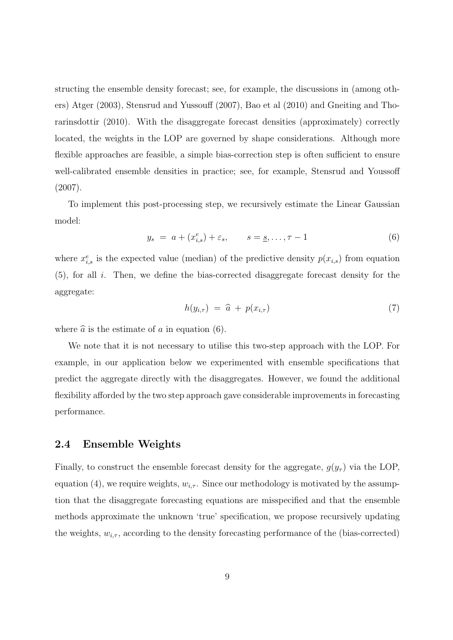structing the ensemble density forecast; see, for example, the discussions in (among others) Atger (2003), Stensrud and Yussouff (2007), Bao et al (2010) and Gneiting and Thorarinsdottir (2010). With the disaggregate forecast densities (approximately) correctly located, the weights in the LOP are governed by shape considerations. Although more flexible approaches are feasible, a simple bias-correction step is often sufficient to ensure well-calibrated ensemble densities in practice; see, for example, Stensrud and Youssoff (2007).

To implement this post-processing step, we recursively estimate the Linear Gaussian model:

$$
y_s = a + (x_{i,s}^e) + \varepsilon_s, \qquad s = s, \dots, \tau - 1
$$
 (6)

where  $x_{i,s}^e$  is the expected value (median) of the predictive density  $p(x_{i,s})$  from equation (5), for all *i*. Then, we define the bias-corrected disaggregate forecast density for the aggregate:

$$
h(y_{i,\tau}) = \widehat{a} + p(x_{i,\tau}) \tag{7}
$$

where  $\hat{a}$  is the estimate of *a* in equation (6).

We note that it is not necessary to utilise this two-step approach with the LOP. For example, in our application below we experimented with ensemble specifications that predict the aggregate directly with the disaggregates. However, we found the additional flexibility afforded by the two step approach gave considerable improvements in forecasting performance.

### **2.4 Ensemble Weights**

Finally, to construct the ensemble forecast density for the aggregate,  $g(y_\tau)$  via the LOP, equation (4), we require weights,  $w_{i,\tau}$ . Since our methodology is motivated by the assumption that the disaggregate forecasting equations are misspecified and that the ensemble methods approximate the unknown 'true' specification, we propose recursively updating the weights,  $w_{i,\tau}$ , according to the density forecasting performance of the (bias-corrected)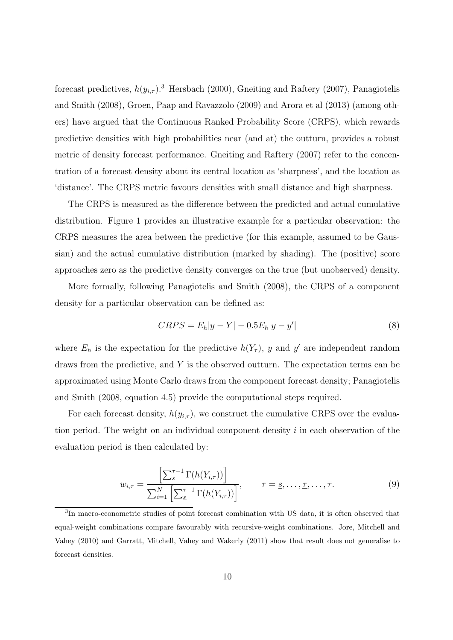forecast predictives,  $h(y_{i,\tau})$ <sup>3</sup> Hersbach (2000), Gneiting and Raftery (2007), Panagiotelis and Smith (2008), Groen, Paap and Ravazzolo (2009) and Arora et al (2013) (among others) have argued that the Continuous Ranked Probability Score (CRPS), which rewards predictive densities with high probabilities near (and at) the outturn, provides a robust metric of density forecast performance. Gneiting and Raftery (2007) refer to the concentration of a forecast density about its central location as 'sharpness', and the location as 'distance'. The CRPS metric favours densities with small distance and high sharpness.

The CRPS is measured as the difference between the predicted and actual cumulative distribution. Figure 1 provides an illustrative example for a particular observation: the CRPS measures the area between the predictive (for this example, assumed to be Gaussian) and the actual cumulative distribution (marked by shading). The (positive) score approaches zero as the predictive density converges on the true (but unobserved) density.

More formally, following Panagiotelis and Smith (2008), the CRPS of a component density for a particular observation can be defined as:

$$
CRPS = E_h|y - Y| - 0.5E_h|y - y'|
$$
\n(8)

where  $E_h$  is the expectation for the predictive  $h(Y_\tau)$ , y and y' are independent random draws from the predictive, and *Y* is the observed outturn. The expectation terms can be approximated using Monte Carlo draws from the component forecast density; Panagiotelis and Smith (2008, equation 4.5) provide the computational steps required.

For each forecast density,  $h(y_{i,\tau})$ , we construct the cumulative CRPS over the evaluation period. The weight on an individual component density *i* in each observation of the evaluation period is then calculated by:

$$
w_{i,\tau} = \frac{\left[\sum_{s}^{\tau-1} \Gamma(h(Y_{i,\tau}))\right]}{\sum_{i=1}^{N} \left[\sum_{s}^{\tau-1} \Gamma(h(Y_{i,\tau}))\right]}, \qquad \tau = \underline{s}, \dots, \underline{\tau}, \dots, \overline{\tau}.
$$
 (9)

<sup>&</sup>lt;sup>3</sup>In macro-econometric studies of point forecast combination with US data, it is often observed that equal-weight combinations compare favourably with recursive-weight combinations. Jore, Mitchell and Vahey (2010) and Garratt, Mitchell, Vahey and Wakerly (2011) show that result does not generalise to forecast densities.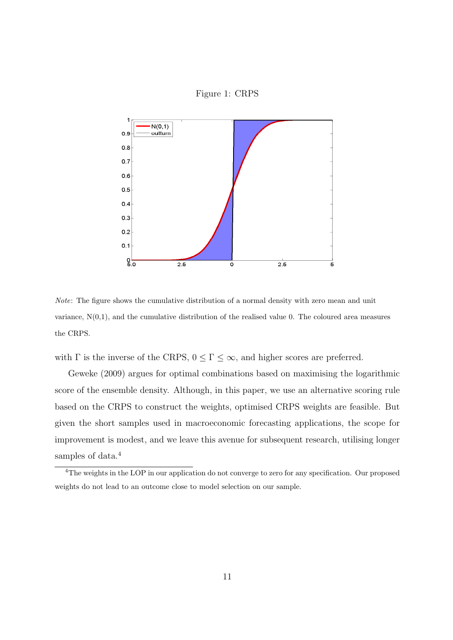

Figure 1: CRPS

*Note*: The figure shows the cumulative distribution of a normal density with zero mean and unit variance,  $N(0,1)$ , and the cumulative distribution of the realised value 0. The coloured area measures the CRPS.

with  $\Gamma$  is the inverse of the CRPS,  $0 \leq \Gamma \leq \infty,$  and higher scores are preferred.

Geweke (2009) argues for optimal combinations based on maximising the logarithmic score of the ensemble density. Although, in this paper, we use an alternative scoring rule based on the CRPS to construct the weights, optimised CRPS weights are feasible. But given the short samples used in macroeconomic forecasting applications, the scope for improvement is modest, and we leave this avenue for subsequent research, utilising longer samples of data.<sup>4</sup>

<sup>&</sup>lt;sup>4</sup>The weights in the LOP in our application do not converge to zero for any specification. Our proposed weights do not lead to an outcome close to model selection on our sample.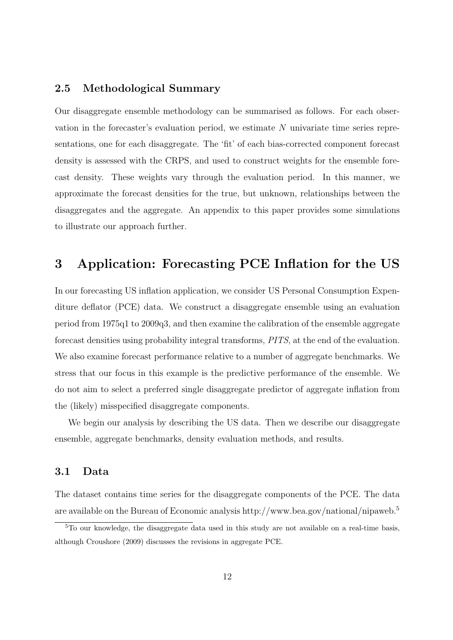### **2.5 Methodological Summary**

Our disaggregate ensemble methodology can be summarised as follows. For each observation in the forecaster's evaluation period, we estimate *N* univariate time series representations, one for each disaggregate. The 'fit' of each bias-corrected component forecast density is assessed with the CRPS, and used to construct weights for the ensemble forecast density. These weights vary through the evaluation period. In this manner, we approximate the forecast densities for the true, but unknown, relationships between the disaggregates and the aggregate. An appendix to this paper provides some simulations to illustrate our approach further.

### **3 Application: Forecasting PCE Inflation for the US**

In our forecasting US inflation application, we consider US Personal Consumption Expenditure deflator (PCE) data. We construct a disaggregate ensemble using an evaluation period from 1975q1 to 2009q3, and then examine the calibration of the ensemble aggregate forecast densities using probability integral transforms, *PITS*, at the end of the evaluation. We also examine forecast performance relative to a number of aggregate benchmarks. We stress that our focus in this example is the predictive performance of the ensemble. We do not aim to select a preferred single disaggregate predictor of aggregate inflation from the (likely) misspecified disaggregate components.

We begin our analysis by describing the US data. Then we describe our disaggregate ensemble, aggregate benchmarks, density evaluation methods, and results.

### **3.1 Data**

The dataset contains time series for the disaggregate components of the PCE. The data are available on the Bureau of Economic analysis http://www.bea.gov/national/nipaweb.<sup>5</sup>

<sup>5</sup>To our knowledge, the disaggregate data used in this study are not available on a real-time basis, although Croushore (2009) discusses the revisions in aggregate PCE.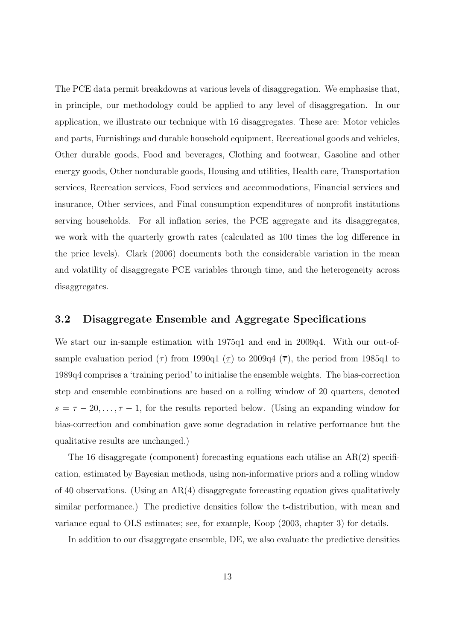The PCE data permit breakdowns at various levels of disaggregation. We emphasise that, in principle, our methodology could be applied to any level of disaggregation. In our application, we illustrate our technique with 16 disaggregates. These are: Motor vehicles and parts, Furnishings and durable household equipment, Recreational goods and vehicles, Other durable goods, Food and beverages, Clothing and footwear, Gasoline and other energy goods, Other nondurable goods, Housing and utilities, Health care, Transportation services, Recreation services, Food services and accommodations, Financial services and insurance, Other services, and Final consumption expenditures of nonprofit institutions serving households. For all inflation series, the PCE aggregate and its disaggregates, we work with the quarterly growth rates (calculated as 100 times the log difference in the price levels). Clark (2006) documents both the considerable variation in the mean and volatility of disaggregate PCE variables through time, and the heterogeneity across disaggregates.

#### **3.2 Disaggregate Ensemble and Aggregate Specifications**

We start our in-sample estimation with 1975q1 and end in 2009q4. With our out-ofsample evaluation period ( $\tau$ ) from 1990q1 ( $\underline{\tau}$ ) to 2009q4 ( $\overline{\tau}$ ), the period from 1985q1 to 1989q4 comprises a 'training period' to initialise the ensemble weights. The bias-correction step and ensemble combinations are based on a rolling window of 20 quarters, denoted  $s = \tau - 20, \ldots, \tau - 1$ , for the results reported below. (Using an expanding window for bias-correction and combination gave some degradation in relative performance but the qualitative results are unchanged.)

The 16 disaggregate (component) forecasting equations each utilise an AR(2) specification, estimated by Bayesian methods, using non-informative priors and a rolling window of 40 observations. (Using an  $AR(4)$  disaggregate forecasting equation gives qualitatively similar performance.) The predictive densities follow the t-distribution, with mean and variance equal to OLS estimates; see, for example, Koop (2003, chapter 3) for details.

In addition to our disaggregate ensemble, DE, we also evaluate the predictive densities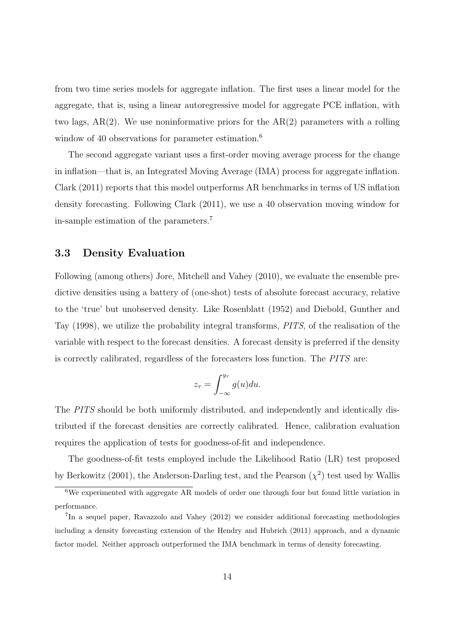from two time series models for aggregate inflation. The first uses a linear model for the aggregate, that is, using a linear autoregressive model for aggregate PCE inflation, with two lags, AR(2). We use noninformative priors for the AR(2) parameters with a rolling window of 40 observations for parameter estimation.<sup>6</sup>

The second aggregate variant uses a first-order moving average process for the change in inflation—that is, an Integrated Moving Average (IMA) process for aggregate inflation. Clark (2011) reports that this model outperforms AR benchmarks in terms of US inflation density forecasting. Following Clark (2011), we use a 40 observation moving window for in-sample estimation of the parameters.<sup>7</sup>

### **3.3 Density Evaluation**

Following (among others) Jore, Mitchell and Vahey (2010), we evaluate the ensemble predictive densities using a battery of (one-shot) tests of absolute forecast accuracy, relative to the 'true' but unobserved density. Like Rosenblatt (1952) and Diebold, Gunther and Tay (1998), we utilize the probability integral transforms, *PITS*, of the realisation of the variable with respect to the forecast densities. A forecast density is preferred if the density is correctly calibrated, regardless of the forecasters loss function. The *PITS* are:

$$
z_{\tau} = \int_{-\infty}^{y_{\tau}} g(u) du.
$$

The *PITS* should be both uniformly distributed, and independently and identically distributed if the forecast densities are correctly calibrated. Hence, calibration evaluation requires the application of tests for goodness-of-fit and independence.

The goodness-of-fit tests employed include the Likelihood Ratio (LR) test proposed by Berkowitz (2001), the Anderson-Darling test, and the Pearson  $(\chi^2)$  test used by Wallis

<sup>&</sup>lt;sup>6</sup>We experimented with aggregate AR models of order one through four but found little variation in performance.

<sup>&</sup>lt;sup>7</sup>In a sequel paper, Ravazzolo and Vahey (2012) we consider additional forecasting methodologies including a density forecasting extension of the Hendry and Hubrich (2011) approach, and a dynamic factor model. Neither approach outperformed the IMA benchmark in terms of density forecasting.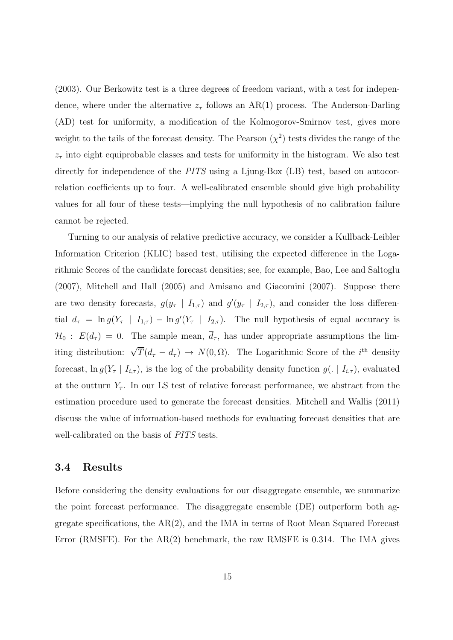(2003). Our Berkowitz test is a three degrees of freedom variant, with a test for independence, where under the alternative  $z<sub>\tau</sub>$  follows an AR(1) process. The Anderson-Darling (AD) test for uniformity, a modification of the Kolmogorov-Smirnov test, gives more weight to the tails of the forecast density. The Pearson  $(\chi^2)$  tests divides the range of the  $z<sub>\tau</sub>$  into eight equiprobable classes and tests for uniformity in the histogram. We also test directly for independence of the *PITS* using a Ljung-Box (LB) test, based on autocorrelation coefficients up to four. A well-calibrated ensemble should give high probability values for all four of these tests—implying the null hypothesis of no calibration failure cannot be rejected.

Turning to our analysis of relative predictive accuracy, we consider a Kullback-Leibler Information Criterion (KLIC) based test, utilising the expected difference in the Logarithmic Scores of the candidate forecast densities; see, for example, Bao, Lee and Saltoglu (2007), Mitchell and Hall (2005) and Amisano and Giacomini (2007). Suppose there are two density forecasts,  $g(y_\tau | I_{1,\tau})$  and  $g'(y_\tau | I_{2,\tau})$ , and consider the loss differential  $d_{\tau} = \ln g(Y_{\tau} | I_{1,\tau}) - \ln g'(Y_{\tau} | I_{2,\tau})$ . The null hypothesis of equal accuracy is  $\mathcal{H}_0$ :  $E(d_\tau) = 0$ . The sample mean,  $\overline{d}_{\tau}$ , has under appropriate assumptions the limiting distribution:  $\sqrt{T}(\bar{d}_{\tau} - d_{\tau}) \rightarrow N(0, \Omega)$ . The Logarithmic Score of the *i*<sup>th</sup> density forecast,  $\ln g(Y_\tau | I_{i,\tau})$ , is the log of the probability density function  $g(.) | I_{i,\tau})$ , evaluated at the outturn  $Y_\tau$ . In our LS test of relative forecast performance, we abstract from the estimation procedure used to generate the forecast densities. Mitchell and Wallis (2011) discuss the value of information-based methods for evaluating forecast densities that are well-calibrated on the basis of *PITS* tests.

#### **3.4 Results**

Before considering the density evaluations for our disaggregate ensemble, we summarize the point forecast performance. The disaggregate ensemble (DE) outperform both aggregate specifications, the AR(2), and the IMA in terms of Root Mean Squared Forecast Error (RMSFE). For the  $AR(2)$  benchmark, the raw RMSFE is 0.314. The IMA gives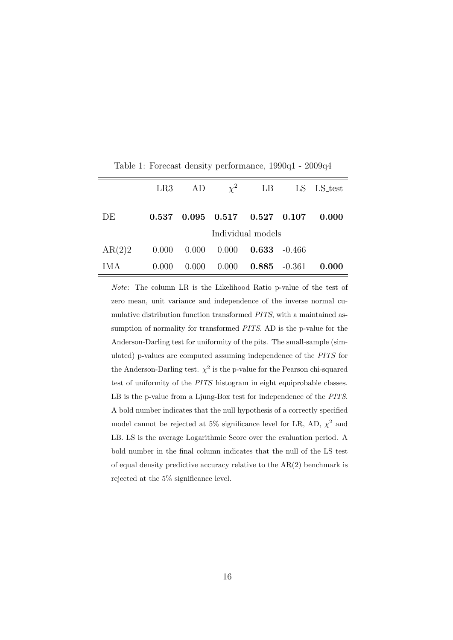|        | LR3               |       | AD $\chi^2$ LB                           |                 |  | LS LS_test |
|--------|-------------------|-------|------------------------------------------|-----------------|--|------------|
| DE     |                   |       | $0.537$ $0.095$ $0.517$ $0.527$ $0.107$  |                 |  | 0.000      |
|        | Individual models |       |                                          |                 |  |            |
| AR(2)2 |                   |       | $0.000$ $0.000$ $0.000$ $0.633$ $-0.466$ |                 |  |            |
| IM A   | (0.000)           | 0.000 | 0.000                                    | $0.885 - 0.361$ |  | 0.000      |

Table 1: Forecast density performance, 1990q1 - 2009q4

*Note*: The column LR is the Likelihood Ratio p-value of the test of zero mean, unit variance and independence of the inverse normal cumulative distribution function transformed *PITS*, with a maintained assumption of normality for transformed *PITS*. AD is the p-value for the Anderson-Darling test for uniformity of the pits. The small-sample (simulated) p-values are computed assuming independence of the *PITS* for the Anderson-Darling test.  $\chi^2$  is the p-value for the Pearson chi-squared test of uniformity of the *PITS* histogram in eight equiprobable classes. LB is the p-value from a Ljung-Box test for independence of the *PITS*. A bold number indicates that the null hypothesis of a correctly specified model cannot be rejected at 5% significance level for LR, AD,  $\chi^2$  and LB. LS is the average Logarithmic Score over the evaluation period. A bold number in the final column indicates that the null of the LS test of equal density predictive accuracy relative to the  $AR(2)$  benchmark is rejected at the 5% significance level.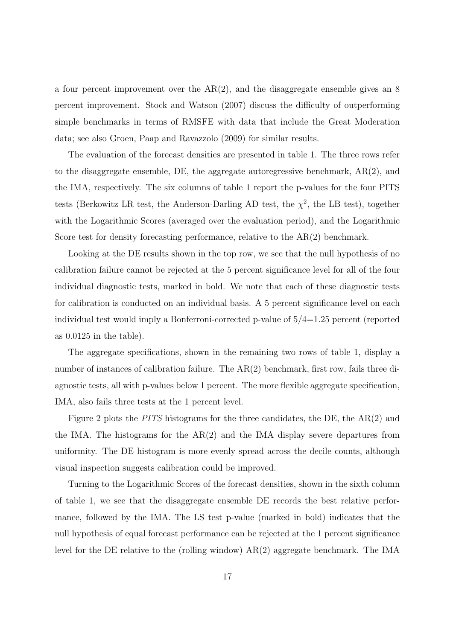a four percent improvement over the  $AR(2)$ , and the disaggregate ensemble gives an 8 percent improvement. Stock and Watson (2007) discuss the difficulty of outperforming simple benchmarks in terms of RMSFE with data that include the Great Moderation data; see also Groen, Paap and Ravazzolo (2009) for similar results.

The evaluation of the forecast densities are presented in table 1. The three rows refer to the disaggregate ensemble, DE, the aggregate autoregressive benchmark, AR(2), and the IMA, respectively. The six columns of table 1 report the p-values for the four PITS tests (Berkowitz LR test, the Anderson-Darling AD test, the  $\chi^2$ , the LB test), together with the Logarithmic Scores (averaged over the evaluation period), and the Logarithmic Score test for density forecasting performance, relative to the  $AR(2)$  benchmark.

Looking at the DE results shown in the top row, we see that the null hypothesis of no calibration failure cannot be rejected at the 5 percent significance level for all of the four individual diagnostic tests, marked in bold. We note that each of these diagnostic tests for calibration is conducted on an individual basis. A 5 percent significance level on each individual test would imply a Bonferroni-corrected p-value of 5/4=1.25 percent (reported as 0.0125 in the table).

The aggregate specifications, shown in the remaining two rows of table 1, display a number of instances of calibration failure. The AR(2) benchmark, first row, fails three diagnostic tests, all with p-values below 1 percent. The more flexible aggregate specification, IMA, also fails three tests at the 1 percent level.

Figure 2 plots the *PITS* histograms for the three candidates, the DE, the AR(2) and the IMA. The histograms for the  $AR(2)$  and the IMA display severe departures from uniformity. The DE histogram is more evenly spread across the decile counts, although visual inspection suggests calibration could be improved.

Turning to the Logarithmic Scores of the forecast densities, shown in the sixth column of table 1, we see that the disaggregate ensemble DE records the best relative performance, followed by the IMA. The LS test p-value (marked in bold) indicates that the null hypothesis of equal forecast performance can be rejected at the 1 percent significance level for the DE relative to the (rolling window) AR(2) aggregate benchmark. The IMA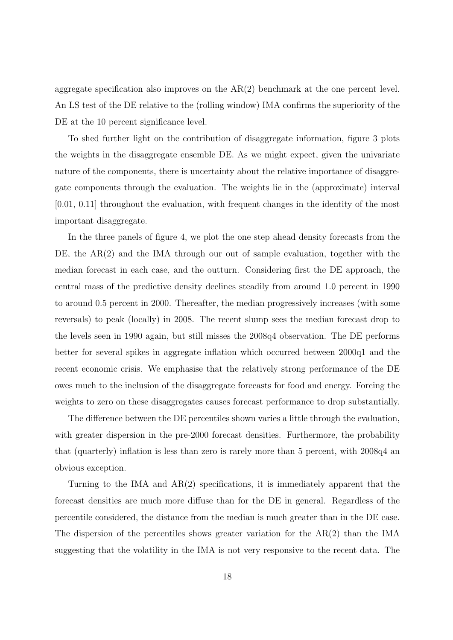aggregate specification also improves on the  $AR(2)$  benchmark at the one percent level. An LS test of the DE relative to the (rolling window) IMA confirms the superiority of the DE at the 10 percent significance level.

To shed further light on the contribution of disaggregate information, figure 3 plots the weights in the disaggregate ensemble DE. As we might expect, given the univariate nature of the components, there is uncertainty about the relative importance of disaggregate components through the evaluation. The weights lie in the (approximate) interval [0.01, 0.11] throughout the evaluation, with frequent changes in the identity of the most important disaggregate.

In the three panels of figure 4, we plot the one step ahead density forecasts from the DE, the AR(2) and the IMA through our out of sample evaluation, together with the median forecast in each case, and the outturn. Considering first the DE approach, the central mass of the predictive density declines steadily from around 1.0 percent in 1990 to around 0.5 percent in 2000. Thereafter, the median progressively increases (with some reversals) to peak (locally) in 2008. The recent slump sees the median forecast drop to the levels seen in 1990 again, but still misses the 2008q4 observation. The DE performs better for several spikes in aggregate inflation which occurred between 2000q1 and the recent economic crisis. We emphasise that the relatively strong performance of the DE owes much to the inclusion of the disaggregate forecasts for food and energy. Forcing the weights to zero on these disaggregates causes forecast performance to drop substantially.

The difference between the DE percentiles shown varies a little through the evaluation, with greater dispersion in the pre-2000 forecast densities. Furthermore, the probability that (quarterly) inflation is less than zero is rarely more than 5 percent, with 2008q4 an obvious exception.

Turning to the IMA and  $AR(2)$  specifications, it is immediately apparent that the forecast densities are much more diffuse than for the DE in general. Regardless of the percentile considered, the distance from the median is much greater than in the DE case. The dispersion of the percentiles shows greater variation for the AR(2) than the IMA suggesting that the volatility in the IMA is not very responsive to the recent data. The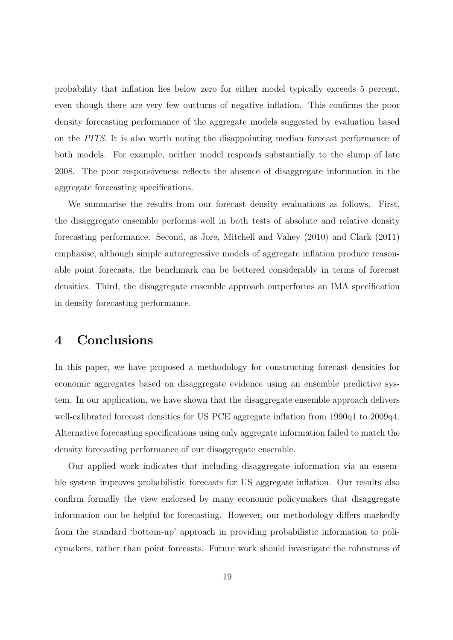probability that inflation lies below zero for either model typically exceeds 5 percent, even though there are very few outturns of negative inflation. This confirms the poor density forecasting performance of the aggregate models suggested by evaluation based on the *PITS*. It is also worth noting the disappointing median forecast performance of both models. For example, neither model responds substantially to the slump of late 2008. The poor responsiveness reflects the absence of disaggregate information in the aggregate forecasting specifications.

We summarise the results from our forecast density evaluations as follows. First, the disaggregate ensemble performs well in both tests of absolute and relative density forecasting performance. Second, as Jore, Mitchell and Vahey (2010) and Clark (2011) emphasise, although simple autoregressive models of aggregate inflation produce reasonable point forecasts, the benchmark can be bettered considerably in terms of forecast densities. Third, the disaggregate ensemble approach outperforms an IMA specification in density forecasting performance.

### **4 Conclusions**

In this paper, we have proposed a methodology for constructing forecast densities for economic aggregates based on disaggregate evidence using an ensemble predictive system. In our application, we have shown that the disaggregate ensemble approach delivers well-calibrated forecast densities for US PCE aggregate inflation from 1990q1 to 2009q4. Alternative forecasting specifications using only aggregate information failed to match the density forecasting performance of our disaggregate ensemble.

Our applied work indicates that including disaggregate information via an ensemble system improves probabilistic forecasts for US aggregate inflation. Our results also confirm formally the view endorsed by many economic policymakers that disaggregate information can be helpful for forecasting. However, our methodology differs markedly from the standard 'bottom-up' approach in providing probabilistic information to policymakers, rather than point forecasts. Future work should investigate the robustness of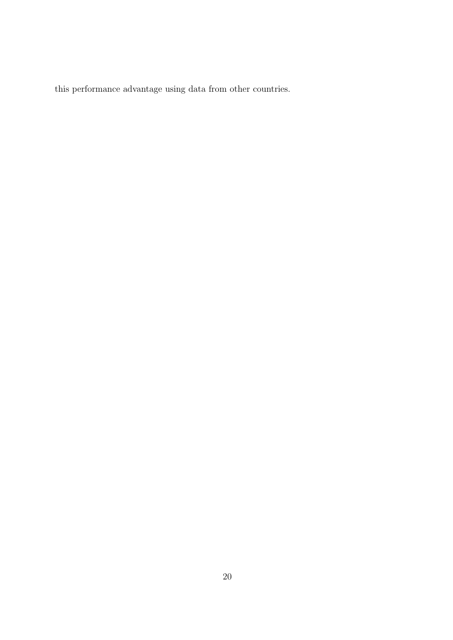this performance advantage using data from other countries.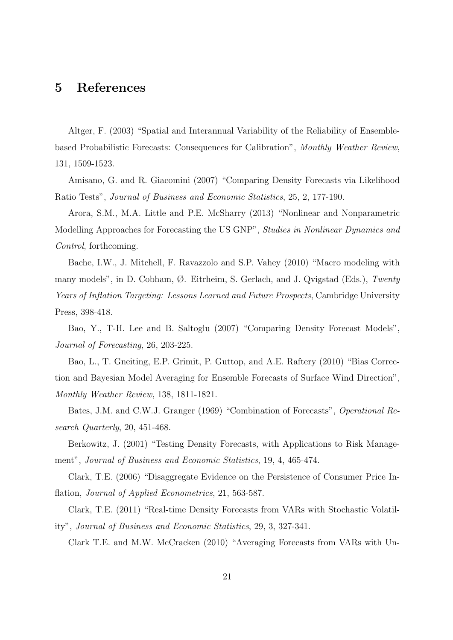### **5 References**

Altger, F. (2003) "Spatial and Interannual Variability of the Reliability of Ensemblebased Probabilistic Forecasts: Consequences for Calibration", *Monthly Weather Review*, 131, 1509-1523.

Amisano, G. and R. Giacomini (2007) "Comparing Density Forecasts via Likelihood Ratio Tests", *Journal of Business and Economic Statistics*, 25, 2, 177-190.

Arora, S.M., M.A. Little and P.E. McSharry (2013) "Nonlinear and Nonparametric Modelling Approaches for Forecasting the US GNP", *Studies in Nonlinear Dynamics and Control*, forthcoming.

Bache, I.W., J. Mitchell, F. Ravazzolo and S.P. Vahey (2010) "Macro modeling with many models", in D. Cobham, Ø. Eitrheim, S. Gerlach, and J. Qvigstad (Eds.), *Twenty Years of Inflation Targeting: Lessons Learned and Future Prospects*, Cambridge University Press, 398-418.

Bao, Y., T-H. Lee and B. Saltoglu (2007) "Comparing Density Forecast Models", *Journal of Forecasting*, 26, 203-225.

Bao, L., T. Gneiting, E.P. Grimit, P. Guttop, and A.E. Raftery (2010) "Bias Correction and Bayesian Model Averaging for Ensemble Forecasts of Surface Wind Direction", *Monthly Weather Review*, 138, 1811-1821.

Bates, J.M. and C.W.J. Granger (1969) "Combination of Forecasts", *Operational Research Quarterly*, 20, 451-468.

Berkowitz, J. (2001) "Testing Density Forecasts, with Applications to Risk Management", *Journal of Business and Economic Statistics*, 19, 4, 465-474.

Clark, T.E. (2006) "Disaggregate Evidence on the Persistence of Consumer Price Inflation, *Journal of Applied Econometrics*, 21, 563-587.

Clark, T.E. (2011) "Real-time Density Forecasts from VARs with Stochastic Volatility", *Journal of Business and Economic Statistics*, 29, 3, 327-341.

Clark T.E. and M.W. McCracken (2010) "Averaging Forecasts from VARs with Un-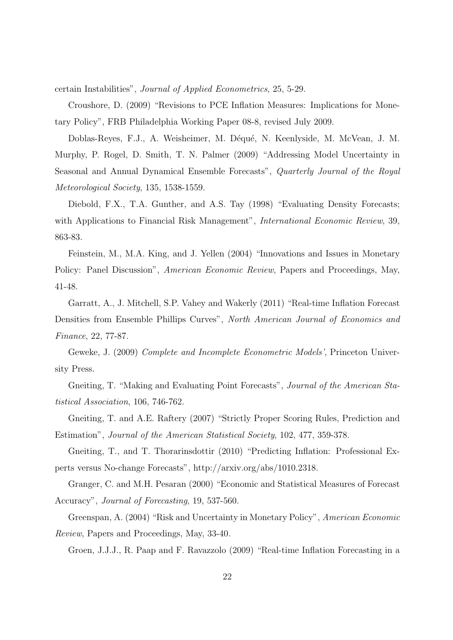certain Instabilities", *Journal of Applied Econometrics*, 25, 5-29.

Croushore, D. (2009) "Revisions to PCE Inflation Measures: Implications for Monetary Policy", FRB Philadelphia Working Paper 08-8, revised July 2009.

Doblas-Reyes, F.J., A. Weisheimer, M. Déqué, N. Keenlyside, M. McVean, J. M. Murphy, P. Rogel, D. Smith, T. N. Palmer (2009) "Addressing Model Uncertainty in Seasonal and Annual Dynamical Ensemble Forecasts", *Quarterly Journal of the Royal Meteorological Society*, 135, 1538-1559.

Diebold, F.X., T.A. Gunther, and A.S. Tay (1998) "Evaluating Density Forecasts; with Applications to Financial Risk Management", *International Economic Review*, 39, 863-83.

Feinstein, M., M.A. King, and J. Yellen (2004) "Innovations and Issues in Monetary Policy: Panel Discussion", *American Economic Review*, Papers and Proceedings, May, 41-48.

Garratt, A., J. Mitchell, S.P. Vahey and Wakerly (2011) "Real-time Inflation Forecast Densities from Ensemble Phillips Curves", *North American Journal of Economics and Finance*, 22, 77-87.

Geweke, J. (2009) *Complete and Incomplete Econometric Models'*, Princeton University Press.

Gneiting, T. "Making and Evaluating Point Forecasts", *Journal of the American Statistical Association*, 106, 746-762.

Gneiting, T. and A.E. Raftery (2007) "Strictly Proper Scoring Rules, Prediction and Estimation", *Journal of the American Statistical Society*, 102, 477, 359-378.

Gneiting, T., and T. Thorarinsdottir (2010) "Predicting Inflation: Professional Experts versus No-change Forecasts", http://arxiv.org/abs/1010.2318.

Granger, C. and M.H. Pesaran (2000) "Economic and Statistical Measures of Forecast Accuracy", *Journal of Forecasting*, 19, 537-560.

Greenspan, A. (2004) "Risk and Uncertainty in Monetary Policy", *American Economic Review*, Papers and Proceedings, May, 33-40.

Groen, J.J.J., R. Paap and F. Ravazzolo (2009) "Real-time Inflation Forecasting in a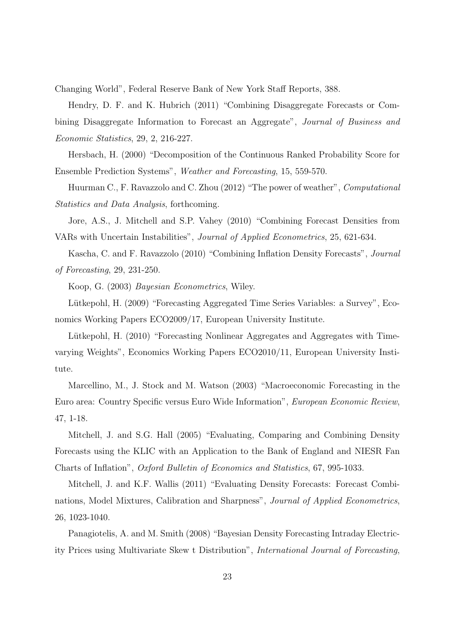Changing World", Federal Reserve Bank of New York Staff Reports, 388.

Hendry, D. F. and K. Hubrich (2011) "Combining Disaggregate Forecasts or Combining Disaggregate Information to Forecast an Aggregate", *Journal of Business and Economic Statistics*, 29, 2, 216-227.

Hersbach, H. (2000) "Decomposition of the Continuous Ranked Probability Score for Ensemble Prediction Systems", *Weather and Forecasting*, 15, 559-570.

Huurman C., F. Ravazzolo and C. Zhou (2012) "The power of weather", *Computational Statistics and Data Analysis*, forthcoming.

Jore, A.S., J. Mitchell and S.P. Vahey (2010) "Combining Forecast Densities from VARs with Uncertain Instabilities", *Journal of Applied Econometrics*, 25, 621-634.

Kascha, C. and F. Ravazzolo (2010) "Combining Inflation Density Forecasts", *Journal of Forecasting*, 29, 231-250.

Koop, G. (2003) *Bayesian Econometrics*, Wiley.

Lütkepohl, H. (2009) "Forecasting Aggregated Time Series Variables: a Survey", Economics Working Papers ECO2009/17, European University Institute.

Lütkepohl, H. (2010) "Forecasting Nonlinear Aggregates and Aggregates with Timevarying Weights", Economics Working Papers ECO2010/11, European University Institute.

Marcellino, M., J. Stock and M. Watson (2003) "Macroeconomic Forecasting in the Euro area: Country Specific versus Euro Wide Information", *European Economic Review*, 47, 1-18.

Mitchell, J. and S.G. Hall (2005) "Evaluating, Comparing and Combining Density Forecasts using the KLIC with an Application to the Bank of England and NIESR Fan Charts of Inflation", *Oxford Bulletin of Economics and Statistics*, 67, 995-1033.

Mitchell, J. and K.F. Wallis (2011) "Evaluating Density Forecasts: Forecast Combinations, Model Mixtures, Calibration and Sharpness", *Journal of Applied Econometrics*, 26, 1023-1040.

Panagiotelis, A. and M. Smith (2008) "Bayesian Density Forecasting Intraday Electricity Prices using Multivariate Skew t Distribution", *International Journal of Forecasting*,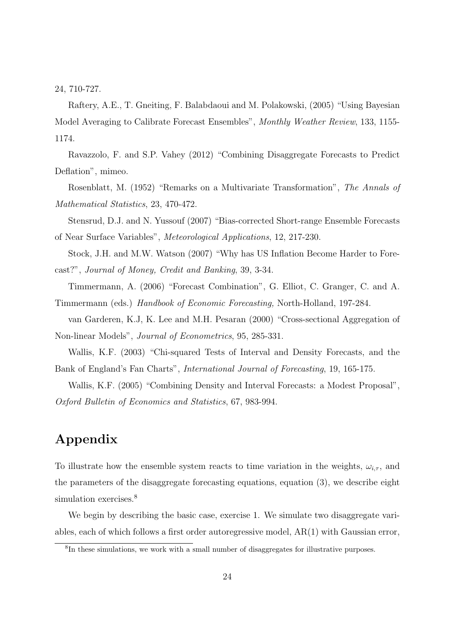24, 710-727.

Raftery, A.E., T. Gneiting, F. Balabdaoui and M. Polakowski, (2005) "Using Bayesian Model Averaging to Calibrate Forecast Ensembles", *Monthly Weather Review*, 133, 1155- 1174.

Ravazzolo, F. and S.P. Vahey (2012) "Combining Disaggregate Forecasts to Predict Deflation", mimeo.

Rosenblatt, M. (1952) "Remarks on a Multivariate Transformation", *The Annals of Mathematical Statistics*, 23, 470-472.

Stensrud, D.J. and N. Yussouf (2007) "Bias-corrected Short-range Ensemble Forecasts of Near Surface Variables", *Meteorological Applications*, 12, 217-230.

Stock, J.H. and M.W. Watson (2007) "Why has US Inflation Become Harder to Forecast?", *Journal of Money, Credit and Banking*, 39, 3-34.

Timmermann, A. (2006) "Forecast Combination", G. Elliot, C. Granger, C. and A. Timmermann (eds.) *Handbook of Economic Forecasting,* North-Holland, 197-284.

van Garderen, K.J, K. Lee and M.H. Pesaran (2000) "Cross-sectional Aggregation of Non-linear Models", *Journal of Econometrics*, 95, 285-331.

Wallis, K.F. (2003) "Chi-squared Tests of Interval and Density Forecasts, and the Bank of England's Fan Charts", *International Journal of Forecasting*, 19, 165-175.

Wallis, K.F. (2005) "Combining Density and Interval Forecasts: a Modest Proposal", *Oxford Bulletin of Economics and Statistics*, 67, 983-994.

## **Appendix**

To illustrate how the ensemble system reacts to time variation in the weights,  $\omega_{i,\tau}$ , and the parameters of the disaggregate forecasting equations, equation (3), we describe eight simulation exercises.<sup>8</sup>

We begin by describing the basic case, exercise 1. We simulate two disaggregate variables, each of which follows a first order autoregressive model, AR(1) with Gaussian error,

<sup>&</sup>lt;sup>8</sup>In these simulations, we work with a small number of disaggregates for illustrative purposes.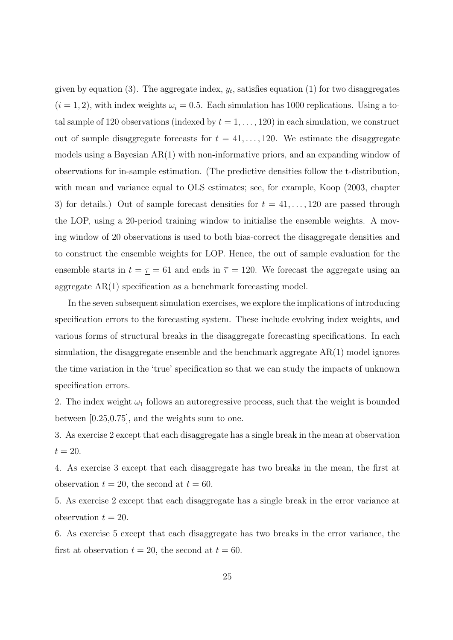given by equation  $(3)$ . The aggregate index,  $y_t$ , satisfies equation  $(1)$  for two disaggregates  $(i = 1, 2)$ , with index weights  $\omega_i = 0.5$ . Each simulation has 1000 replications. Using a total sample of 120 observations (indexed by  $t = 1, \ldots, 120$ ) in each simulation, we construct out of sample disaggregate forecasts for  $t = 41, \ldots, 120$ . We estimate the disaggregate models using a Bayesian AR(1) with non-informative priors, and an expanding window of observations for in-sample estimation. (The predictive densities follow the t-distribution, with mean and variance equal to OLS estimates; see, for example, Koop (2003, chapter 3) for details.) Out of sample forecast densities for  $t = 41, \ldots, 120$  are passed through the LOP, using a 20-period training window to initialise the ensemble weights. A moving window of 20 observations is used to both bias-correct the disaggregate densities and to construct the ensemble weights for LOP. Hence, the out of sample evaluation for the ensemble starts in  $t = \tau = 61$  and ends in  $\bar{\tau} = 120$ . We forecast the aggregate using an aggregate AR(1) specification as a benchmark forecasting model.

In the seven subsequent simulation exercises, we explore the implications of introducing specification errors to the forecasting system. These include evolving index weights, and various forms of structural breaks in the disaggregate forecasting specifications. In each simulation, the disaggregate ensemble and the benchmark aggregate AR(1) model ignores the time variation in the 'true' specification so that we can study the impacts of unknown specification errors.

2. The index weight  $\omega_1$  follows an autoregressive process, such that the weight is bounded between [0.25,0.75], and the weights sum to one.

3. As exercise 2 except that each disaggregate has a single break in the mean at observation  $t = 20$ .

4. As exercise 3 except that each disaggregate has two breaks in the mean, the first at observation  $t = 20$ , the second at  $t = 60$ .

5. As exercise 2 except that each disaggregate has a single break in the error variance at observation  $t = 20$ .

6. As exercise 5 except that each disaggregate has two breaks in the error variance, the first at observation  $t = 20$ , the second at  $t = 60$ .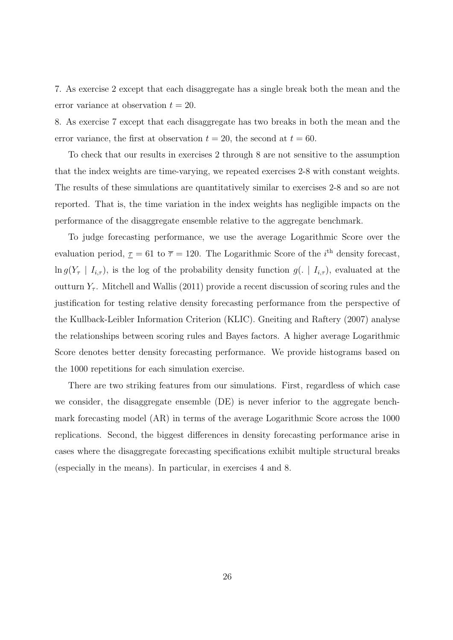7. As exercise 2 except that each disaggregate has a single break both the mean and the error variance at observation  $t = 20$ .

8. As exercise 7 except that each disaggregate has two breaks in both the mean and the error variance, the first at observation  $t = 20$ , the second at  $t = 60$ .

To check that our results in exercises 2 through 8 are not sensitive to the assumption that the index weights are time-varying, we repeated exercises 2-8 with constant weights. The results of these simulations are quantitatively similar to exercises 2-8 and so are not reported. That is, the time variation in the index weights has negligible impacts on the performance of the disaggregate ensemble relative to the aggregate benchmark.

To judge forecasting performance, we use the average Logarithmic Score over the evaluation period,  $\underline{\tau} = 61$  to  $\overline{\tau} = 120$ . The Logarithmic Score of the *i*<sup>th</sup> density forecast,  $\ln g(Y_\tau | I_{i,\tau})$ , is the log of the probability density function  $g(.) | I_{i,\tau})$ , evaluated at the outturn  $Y<sub>\tau</sub>$ . Mitchell and Wallis (2011) provide a recent discussion of scoring rules and the justification for testing relative density forecasting performance from the perspective of the Kullback-Leibler Information Criterion (KLIC). Gneiting and Raftery (2007) analyse the relationships between scoring rules and Bayes factors. A higher average Logarithmic Score denotes better density forecasting performance. We provide histograms based on the 1000 repetitions for each simulation exercise.

There are two striking features from our simulations. First, regardless of which case we consider, the disaggregate ensemble (DE) is never inferior to the aggregate benchmark forecasting model (AR) in terms of the average Logarithmic Score across the 1000 replications. Second, the biggest differences in density forecasting performance arise in cases where the disaggregate forecasting specifications exhibit multiple structural breaks (especially in the means). In particular, in exercises 4 and 8.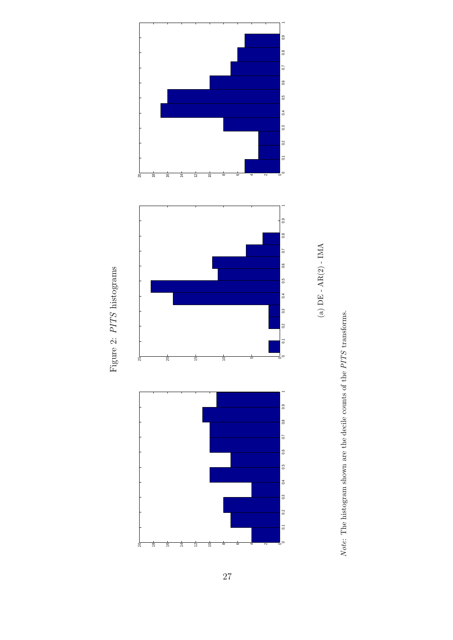

Figure 2: *PITS* histograms

Figure 2:  $PITS$  histograms



 $Note:$  The histogram shown are the decile counts of the  $PITS$  transforms. *Note*: The histogram shown are the decile counts of the *PITS* transforms.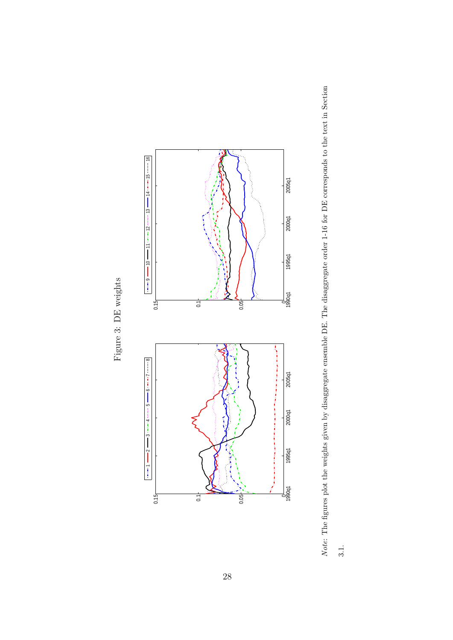Figure 3: DE weights Figure 3: DE weights



Note: The figures plot the weights given by disaggregate ensemble DE. The disaggregate order 1-16 for DE corresponds to the text in Section *Note*: The figures plot the weights given by disaggregate ensemble DE. The disaggregate order 1-16 for DE corresponds to the text in Section 3.1.<br>3.1.

 $3.1.$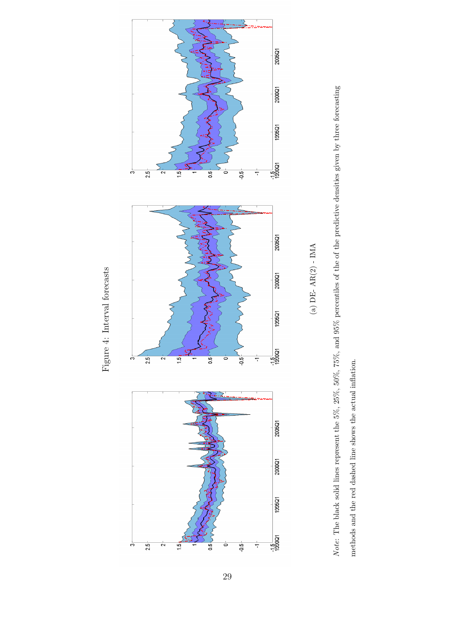



Note: The black solid lines represent the  $5\%, 25\%, 50\%, 75\%,$  and  $95\%$  percentiles of the of the predictive densities given by three forecasting *Note*: The black solid lines represent the 5%, 25%, 50%, 75%, and 95% percentiles of the of the predictive densities given by three forecasting methods and the red dashed line shows the actual inflation. methods and the red dashed line shows the actual inflation.

Figure 4: Interval forecasts Figure 4: Interval forecasts